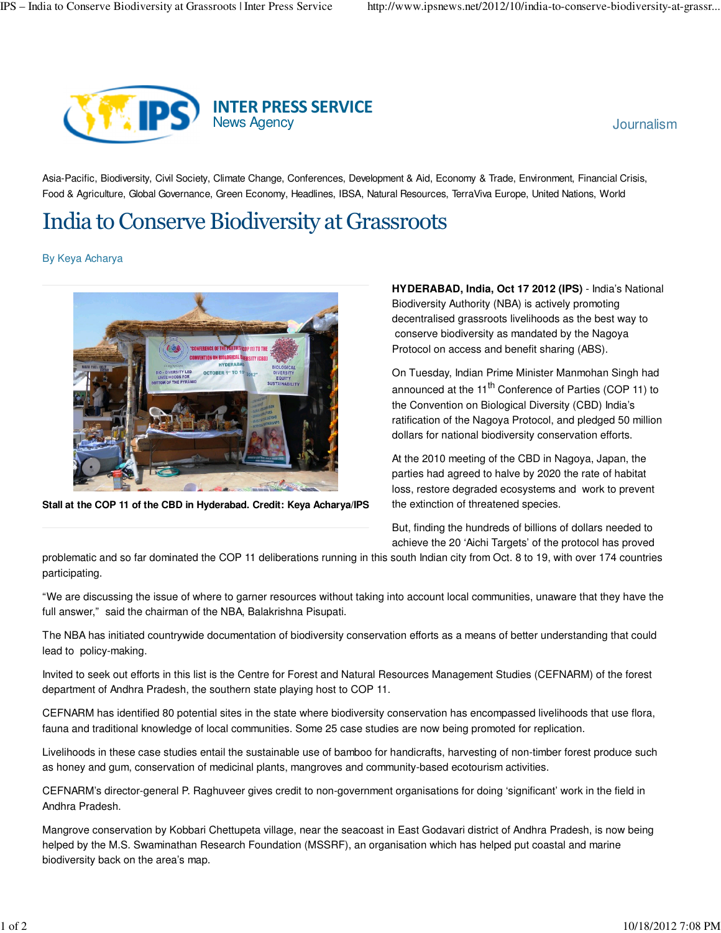

Asia-Pacific, Biodiversity, Civil Society, Climate Change, Conferences, Development & Aid, Economy & Trade, Environment, Financial Crisis, Food & Agriculture, Global Governance, Green Economy, Headlines, IBSA, Natural Resources, TerraViva Europe, United Nations, World

## India to Conserve Biodiversity at Grassroots

By Keya Acharya



**Stall at the COP 11 of the CBD in Hyderabad. Credit: Keya Acharya/IPS**

**HYDERABAD, India, Oct 17 2012 (IPS)** - India's National Biodiversity Authority (NBA) is actively promoting decentralised grassroots livelihoods as the best way to conserve biodiversity as mandated by the Nagoya Protocol on access and benefit sharing (ABS).

On Tuesday, Indian Prime Minister Manmohan Singh had announced at the 11<sup>th</sup> Conference of Parties (COP 11) to the Convention on Biological Diversity (CBD) India's ratification of the Nagoya Protocol, and pledged 50 million dollars for national biodiversity conservation efforts.

At the 2010 meeting of the CBD in Nagoya, Japan, the parties had agreed to halve by 2020 the rate of habitat loss, restore degraded ecosystems and work to prevent the extinction of threatened species.

But, finding the hundreds of billions of dollars needed to achieve the 20 'Aichi Targets' of the protocol has proved

problematic and so far dominated the COP 11 deliberations running in this south Indian city from Oct. 8 to 19, with over 174 countries participating.

"We are discussing the issue of where to garner resources without taking into account local communities, unaware that they have the full answer," said the chairman of the NBA, Balakrishna Pisupati.

The NBA has initiated countrywide documentation of biodiversity conservation efforts as a means of better understanding that could lead to policy-making.

Invited to seek out efforts in this list is the Centre for Forest and Natural Resources Management Studies (CEFNARM) of the forest department of Andhra Pradesh, the southern state playing host to COP 11.

CEFNARM has identified 80 potential sites in the state where biodiversity conservation has encompassed livelihoods that use flora, fauna and traditional knowledge of local communities. Some 25 case studies are now being promoted for replication.

Livelihoods in these case studies entail the sustainable use of bamboo for handicrafts, harvesting of non-timber forest produce such as honey and gum, conservation of medicinal plants, mangroves and community-based ecotourism activities.

CEFNARM's director-general P. Raghuveer gives credit to non-government organisations for doing 'significant' work in the field in Andhra Pradesh.

Mangrove conservation by Kobbari Chettupeta village, near the seacoast in East Godavari district of Andhra Pradesh, is now being helped by the M.S. Swaminathan Research Foundation (MSSRF), an organisation which has helped put coastal and marine biodiversity back on the area's map.